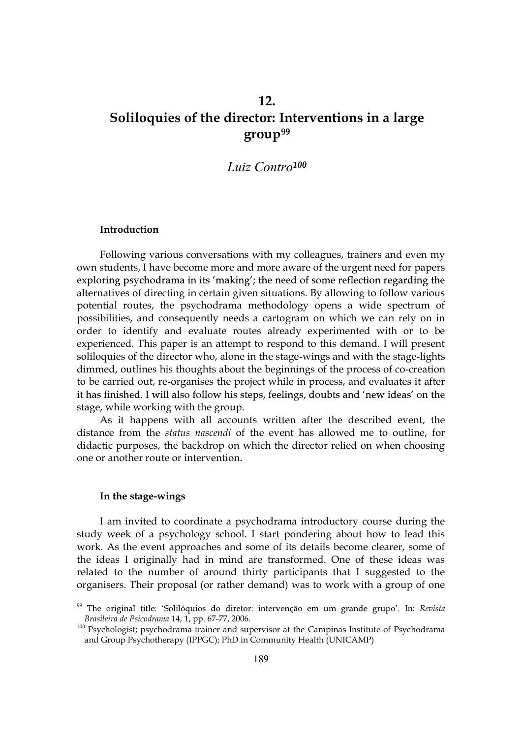# 12. Soliloquies of the director: Interventions in a large group<sup>99</sup>

# Luiz Contro<sup>100</sup>

### Introduction

Following various conversations with my colleagues, trainers and even my own students, I have become more and more aware of the urgent need for papers exploring psychodrama in its 'making'; the need of some reflection regarding the alternatives of directing in certain given situations. By allowing to follow various potential routes, the psychodrama methodology opens a wide spectrum of possibilities, and consequently needs a cartogram on which we can rely on in order to identify and evaluate routes already experimented with or to be experienced. This paper is an attempt to respond to this demand. I will present soliloquies of the director who, alone in the stage-wings and with the stage-lights dimmed, outlines his thoughts about the beginnings of the process of co-creation to be carried out, re-organises the project while in process, and evaluates it after it has finished. I will also follow his steps, feelings, doubts and 'new ideas' on the stage, while working with the group.

As it happens with all accounts written after the described event, the distance from the status nascendi of the event has allowed me to outline, for didactic purposes, the backdrop on which the director relied on when choosing one or another route or intervention.

## In the stage-wings

 $\overline{a}$ 

I am invited to coordinate a psychodrama introductory course during the study week of a psychology school. I start pondering about how to lead this work. As the event approaches and some of its details become clearer, some of the ideas I originally had in mind are transformed. One of these ideas was related to the number of around thirty participants that I suggested to the organisers. Their proposal (or rather demand) was to work with a group of one

<sup>&</sup>lt;sup>99</sup> The original title: 'Solilóquios do diretor: intervenção em um grande grupo'. In: Revista Brasileira de Psicodrama 14, 1, pp. 67-77, 2006.

<sup>&</sup>lt;sup>100</sup> Psychologist; psychodrama trainer and supervisor at the Campinas Institute of Psychodrama and Group Psychotherapy (IPPGC); PhD in Community Health (UNICAMP)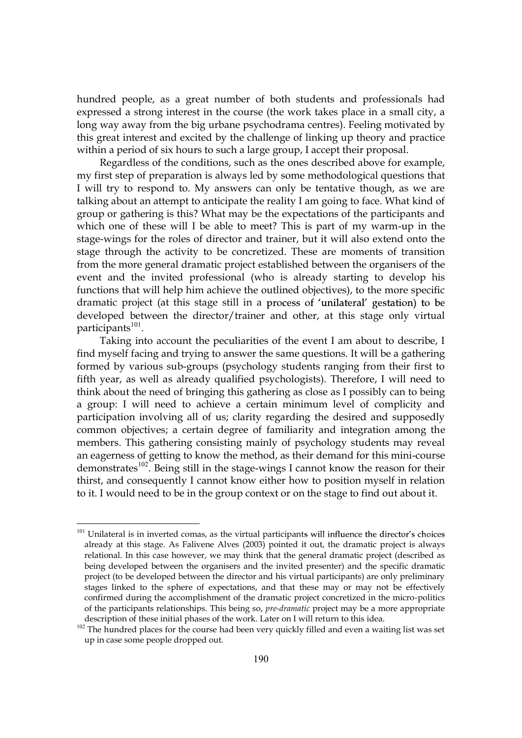hundred people, as a great number of both students and professionals had expressed a strong interest in the course (the work takes place in a small city, a long way away from the big urbane psychodrama centres). Feeling motivated by this great interest and excited by the challenge of linking up theory and practice within a period of six hours to such a large group, I accept their proposal.

Regardless of the conditions, such as the ones described above for example, my first step of preparation is always led by some methodological questions that I will try to respond to. My answers can only be tentative though, as we are talking about an attempt to anticipate the reality I am going to face. What kind of group or gathering is this? What may be the expectations of the participants and which one of these will I be able to meet? This is part of my warm-up in the stage-wings for the roles of director and trainer, but it will also extend onto the stage through the activity to be concretized. These are moments of transition from the more general dramatic project established between the organisers of the event and the invited professional (who is already starting to develop his functions that will help him achieve the outlined objectives), to the more specific dramatic project (at this stage still in a process of 'unilateral' gestation) to be developed between the director/trainer and other, at this stage only virtual participants<sup>101</sup>.

Taking into account the peculiarities of the event I am about to describe, I find myself facing and trying to answer the same questions. It will be a gathering formed by various sub-groups (psychology students ranging from their first to fifth year, as well as already qualified psychologists). Therefore, I will need to think about the need of bringing this gathering as close as I possibly can to being a group: I will need to achieve a certain minimum level of complicity and participation involving all of us; clarity regarding the desired and supposedly common objectives; a certain degree of familiarity and integration among the members. This gathering consisting mainly of psychology students may reveal an eagerness of getting to know the method, as their demand for this mini-course demonstrates<sup>102</sup>. Being still in the stage-wings I cannot know the reason for their thirst, and consequently I cannot know either how to position myself in relation to it. I would need to be in the group context or on the stage to find out about it.

 $\overline{a}$ 

 $101$  Unilateral is in inverted comas, as the virtual participants will influence the director's choices already at this stage. As Falivene Alves (2003) pointed it out, the dramatic project is always relational. In this case however, we may think that the general dramatic project (described as being developed between the organisers and the invited presenter) and the specific dramatic project (to be developed between the director and his virtual participants) are only preliminary stages linked to the sphere of expectations, and that these may or may not be effectively confirmed during the accomplishment of the dramatic project concretized in the micro-politics of the participants relationships. This being so, pre-dramatic project may be a more appropriate description of these initial phases of the work. Later on I will return to this idea.

<sup>&</sup>lt;sup>102</sup> The hundred places for the course had been very quickly filled and even a waiting list was set up in case some people dropped out.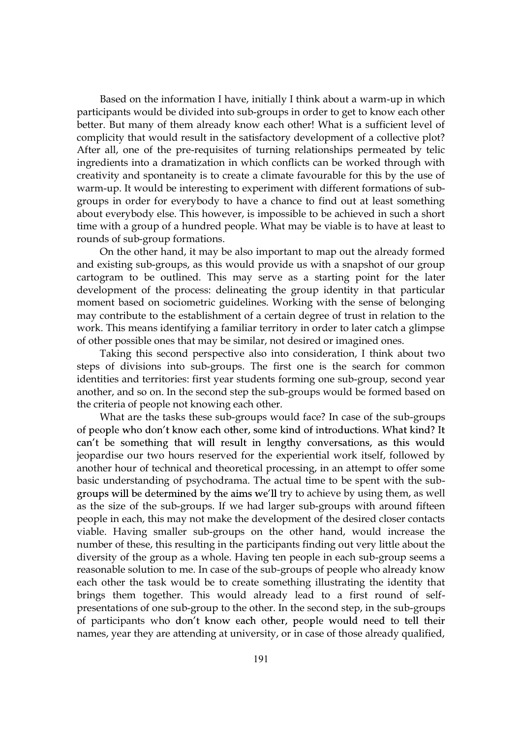Based on the information I have, initially I think about a warm-up in which participants would be divided into sub-groups in order to get to know each other better. But many of them already know each other! What is a sufficient level of complicity that would result in the satisfactory development of a collective plot? After all, one of the pre-requisites of turning relationships permeated by telic ingredients into a dramatization in which conflicts can be worked through with creativity and spontaneity is to create a climate favourable for this by the use of warm-up. It would be interesting to experiment with different formations of subgroups in order for everybody to have a chance to find out at least something about everybody else. This however, is impossible to be achieved in such a short time with a group of a hundred people. What may be viable is to have at least to rounds of sub-group formations.

On the other hand, it may be also important to map out the already formed and existing sub-groups, as this would provide us with a snapshot of our group cartogram to be outlined. This may serve as a starting point for the later development of the process: delineating the group identity in that particular moment based on sociometric guidelines. Working with the sense of belonging may contribute to the establishment of a certain degree of trust in relation to the work. This means identifying a familiar territory in order to later catch a glimpse of other possible ones that may be similar, not desired or imagined ones.

Taking this second perspective also into consideration, I think about two steps of divisions into sub-groups. The first one is the search for common identities and territories: first year students forming one sub-group, second year another, and so on. In the second step the sub-groups would be formed based on the criteria of people not knowing each other.

What are the tasks these sub-groups would face? In case of the sub-groups of people who don't know each other, some kind of introductions. What kind? It can't be something that will result in lengthy conversations, as this would jeopardise our two hours reserved for the experiential work itself, followed by another hour of technical and theoretical processing, in an attempt to offer some basic understanding of psychodrama. The actual time to be spent with the subgroups will be determined by the aims we'll try to achieve by using them, as well as the size of the sub-groups. If we had larger sub-groups with around fifteen people in each, this may not make the development of the desired closer contacts viable. Having smaller sub-groups on the other hand, would increase the number of these, this resulting in the participants finding out very little about the diversity of the group as a whole. Having ten people in each sub-group seems a reasonable solution to me. In case of the sub-groups of people who already know each other the task would be to create something illustrating the identity that brings them together. This would already lead to a first round of selfpresentations of one sub-group to the other. In the second step, in the sub-groups of participants who don't know each other, people would need to tell their names, year they are attending at university, or in case of those already qualified,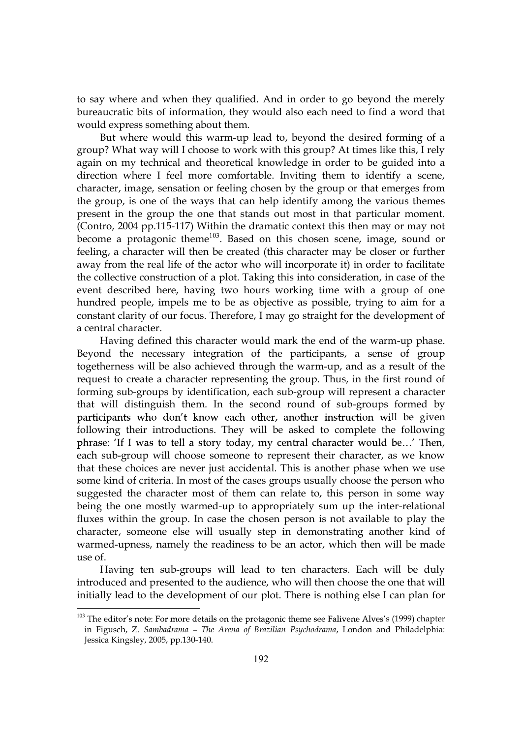to say where and when they qualified. And in order to go beyond the merely bureaucratic bits of information, they would also each need to find a word that would express something about them.

But where would this warm-up lead to, beyond the desired forming of a group? What way will I choose to work with this group? At times like this, I rely again on my technical and theoretical knowledge in order to be guided into a direction where I feel more comfortable. Inviting them to identify a scene, character, image, sensation or feeling chosen by the group or that emerges from the group, is one of the ways that can help identify among the various themes present in the group the one that stands out most in that particular moment. (Contro, 2004 pp.115-117) Within the dramatic context this then may or may not become a protagonic theme<sup>103</sup>. Based on this chosen scene, image, sound or feeling, a character will then be created (this character may be closer or further away from the real life of the actor who will incorporate it) in order to facilitate the collective construction of a plot. Taking this into consideration, in case of the event described here, having two hours working time with a group of one hundred people, impels me to be as objective as possible, trying to aim for a constant clarity of our focus. Therefore, I may go straight for the development of a central character.

Having defined this character would mark the end of the warm-up phase. Beyond the necessary integration of the participants, a sense of group togetherness will be also achieved through the warm-up, and as a result of the request to create a character representing the group. Thus, in the first round of forming sub-groups by identification, each sub-group will represent a character that will distinguish them. In the second round of sub-groups formed by participants who don't know each other, another instruction will be given following their introductions. They will be asked to complete the following phrase: 'If I was to tell a story today, my central character would be...' Then, each sub-group will choose someone to represent their character, as we know that these choices are never just accidental. This is another phase when we use some kind of criteria. In most of the cases groups usually choose the person who suggested the character most of them can relate to, this person in some way being the one mostly warmed-up to appropriately sum up the inter-relational fluxes within the group. In case the chosen person is not available to play the character, someone else will usually step in demonstrating another kind of warmed-upness, namely the readiness to be an actor, which then will be made use of.

Having ten sub-groups will lead to ten characters. Each will be duly introduced and presented to the audience, who will then choose the one that will initially lead to the development of our plot. There is nothing else I can plan for

 $\overline{a}$ 

<sup>&</sup>lt;sup>103</sup> The editor's note: For more details on the protagonic theme see Falivene Alves's (1999) chapter in Figusch, Z. Sambadrama - The Arena of Brazilian Psychodrama, London and Philadelphia: Jessica Kingsley, 2005, pp.130-140.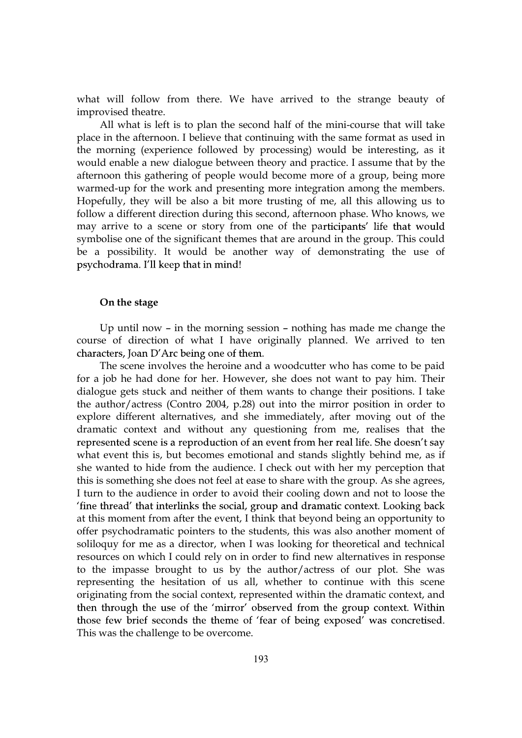what will follow from there. We have arrived to the strange beauty of improvised theatre.

All what is left is to plan the second half of the mini-course that will take place in the afternoon. I believe that continuing with the same format as used in the morning (experience followed by processing) would be interesting, as it would enable a new dialogue between theory and practice. I assume that by the afternoon this gathering of people would become more of a group, being more warmed-up for the work and presenting more integration among the members. Hopefully, they will be also a bit more trusting of me, all this allowing us to follow a different direction during this second, afternoon phase. Who knows, we may arrive to a scene or story from one of the participants' life that would symbolise one of the significant themes that are around in the group. This could be a possibility. It would be another way of demonstrating the use of psychodrama. I'll keep that in mind!

#### On the stage

Up until now  $-$  in the morning session  $-$  nothing has made me change the course of direction of what I have originally planned. We arrived to ten characters, Joan D'Arc being one of them.

The scene involves the heroine and a woodcutter who has come to be paid for a job he had done for her. However, she does not want to pay him. Their dialogue gets stuck and neither of them wants to change their positions. I take the author/actress (Contro 2004, p.28) out into the mirror position in order to explore different alternatives, and she immediately, after moving out of the dramatic context and without any questioning from me, realises that the represented scene is a reproduction of an event from her real life. She doesn't say what event this is, but becomes emotional and stands slightly behind me, as if she wanted to hide from the audience. I check out with her my perception that this is something she does not feel at ease to share with the group. As she agrees, I turn to the audience in order to avoid their cooling down and not to loose the 'fine thread' that interlinks the social, group and dramatic context. Looking back at this moment from after the event, I think that beyond being an opportunity to offer psychodramatic pointers to the students, this was also another moment of soliloquy for me as a director, when I was looking for theoretical and technical resources on which I could rely on in order to find new alternatives in response to the impasse brought to us by the author/actress of our plot. She was representing the hesitation of us all, whether to continue with this scene originating from the social context, represented within the dramatic context, and then through the use of the 'mirror' observed from the group context. Within those few brief seconds the theme of 'fear of being exposed' was concretised. This was the challenge to be overcome.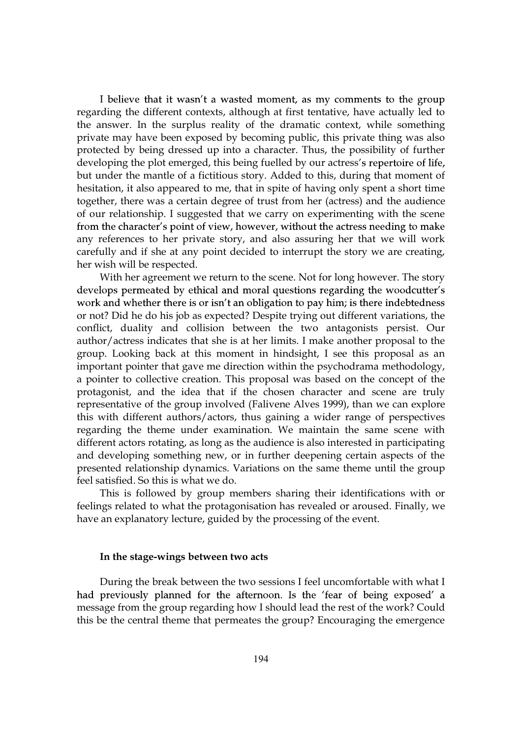I believe that it wasn't a wasted moment, as my comments to the group regarding the different contexts, although at first tentative, have actually led to the answer. In the surplus reality of the dramatic context, while something private may have been exposed by becoming public, this private thing was also protected by being dressed up into a character. Thus, the possibility of further developing the plot emerged, this being fuelled by our actress's repertoire of life, but under the mantle of a fictitious story. Added to this, during that moment of hesitation, it also appeared to me, that in spite of having only spent a short time together, there was a certain degree of trust from her (actress) and the audience of our relationship. I suggested that we carry on experimenting with the scene from the character's point of view, however, without the actress needing to make any references to her private story, and also assuring her that we will work carefully and if she at any point decided to interrupt the story we are creating, her wish will be respected.

With her agreement we return to the scene. Not for long however. The story develops permeated by ethical and moral questions regarding the woodcutter's work and whether there is or isn't an obligation to pay him; is there indebtedness or not? Did he do his job as expected? Despite trying out different variations, the conflict, duality and collision between the two antagonists persist. Our author/actress indicates that she is at her limits. I make another proposal to the group. Looking back at this moment in hindsight, I see this proposal as an important pointer that gave me direction within the psychodrama methodology, a pointer to collective creation. This proposal was based on the concept of the protagonist, and the idea that if the chosen character and scene are truly representative of the group involved (Falivene Alves 1999), than we can explore this with different authors/actors, thus gaining a wider range of perspectives regarding the theme under examination. We maintain the same scene with different actors rotating, as long as the audience is also interested in participating and developing something new, or in further deepening certain aspects of the presented relationship dynamics. Variations on the same theme until the group feel satisfied. So this is what we do.

This is followed by group members sharing their identifications with or feelings related to what the protagonisation has revealed or aroused. Finally, we have an explanatory lecture, guided by the processing of the event.

#### In the stage-wings between two acts

During the break between the two sessions I feel uncomfortable with what I had previously planned for the afternoon. Is the 'fear of being exposed' a message from the group regarding how I should lead the rest of the work? Could this be the central theme that permeates the group? Encouraging the emergence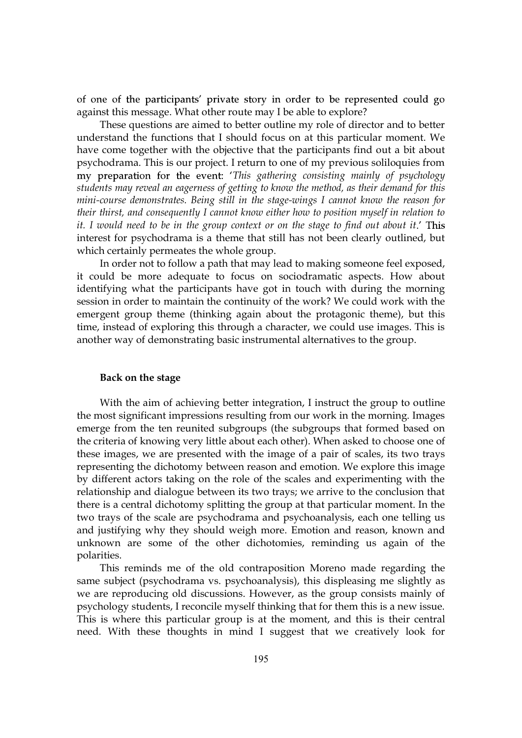of one of the participants' private story in order to be represented could go against this message. What other route may I be able to explore?

These questions are aimed to better outline my role of director and to better understand the functions that I should focus on at this particular moment. We have come together with the objective that the participants find out a bit about psychodrama. This is our project. I return to one of my previous soliloquies from my preparation for the event: 'This gathering consisting mainly of psychology students may reveal an eagerness of getting to know the method, as their demand for this mini-course demonstrates. Being still in the stage-wings I cannot know the reason for their thirst, and consequently I cannot know either how to position myself in relation to it. I would need to be in the group context or on the stage to find out about it.' This interest for psychodrama is a theme that still has not been clearly outlined, but which certainly permeates the whole group.

In order not to follow a path that may lead to making someone feel exposed, it could be more adequate to focus on sociodramatic aspects. How about identifying what the participants have got in touch with during the morning session in order to maintain the continuity of the work? We could work with the emergent group theme (thinking again about the protagonic theme), but this time, instead of exploring this through a character, we could use images. This is another way of demonstrating basic instrumental alternatives to the group.

#### Back on the stage

With the aim of achieving better integration, I instruct the group to outline the most significant impressions resulting from our work in the morning. Images emerge from the ten reunited subgroups (the subgroups that formed based on the criteria of knowing very little about each other). When asked to choose one of these images, we are presented with the image of a pair of scales, its two trays representing the dichotomy between reason and emotion. We explore this image by different actors taking on the role of the scales and experimenting with the relationship and dialogue between its two trays; we arrive to the conclusion that there is a central dichotomy splitting the group at that particular moment. In the two trays of the scale are psychodrama and psychoanalysis, each one telling us and justifying why they should weigh more. Emotion and reason, known and unknown are some of the other dichotomies, reminding us again of the polarities.

This reminds me of the old contraposition Moreno made regarding the same subject (psychodrama vs. psychoanalysis), this displeasing me slightly as we are reproducing old discussions. However, as the group consists mainly of psychology students, I reconcile myself thinking that for them this is a new issue. This is where this particular group is at the moment, and this is their central need. With these thoughts in mind I suggest that we creatively look for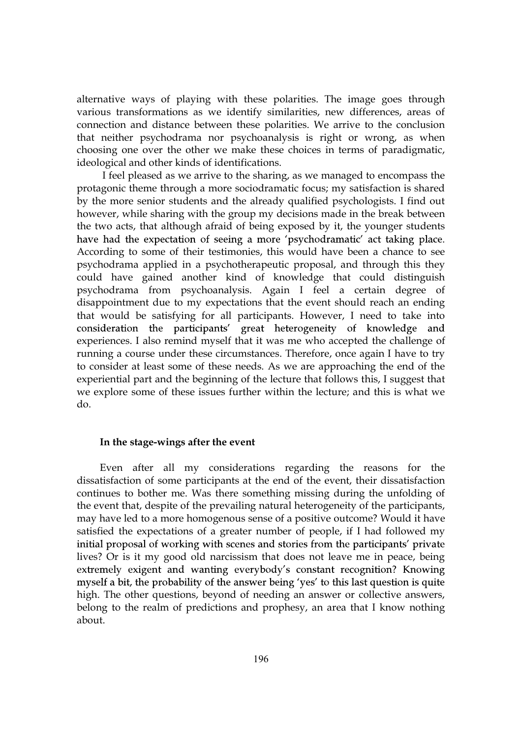alternative ways of playing with these polarities. The image goes through various transformations as we identify similarities, new differences, areas of connection and distance between these polarities. We arrive to the conclusion that neither psychodrama nor psychoanalysis is right or wrong, as when choosing one over the other we make these choices in terms of paradigmatic, ideological and other kinds of identifications.

 I feel pleased as we arrive to the sharing, as we managed to encompass the protagonic theme through a more sociodramatic focus; my satisfaction is shared by the more senior students and the already qualified psychologists. I find out however, while sharing with the group my decisions made in the break between the two acts, that although afraid of being exposed by it, the younger students have had the expectation of seeing a more 'psychodramatic' act taking place. According to some of their testimonies, this would have been a chance to see psychodrama applied in a psychotherapeutic proposal, and through this they could have gained another kind of knowledge that could distinguish psychodrama from psychoanalysis. Again I feel a certain degree of disappointment due to my expectations that the event should reach an ending that would be satisfying for all participants. However, I need to take into consideration the participants' great heterogeneity of knowledge and experiences. I also remind myself that it was me who accepted the challenge of running a course under these circumstances. Therefore, once again I have to try to consider at least some of these needs. As we are approaching the end of the experiential part and the beginning of the lecture that follows this, I suggest that we explore some of these issues further within the lecture; and this is what we do.

#### In the stage-wings after the event

Even after all my considerations regarding the reasons for the dissatisfaction of some participants at the end of the event, their dissatisfaction continues to bother me. Was there something missing during the unfolding of the event that, despite of the prevailing natural heterogeneity of the participants, may have led to a more homogenous sense of a positive outcome? Would it have satisfied the expectations of a greater number of people, if I had followed my initial proposal of working with scenes and stories from the participants' private lives? Or is it my good old narcissism that does not leave me in peace, being extremely exigent and wanting everybody's constant recognition? Knowing myself a bit, the probability of the answer being 'yes' to this last question is quite high. The other questions, beyond of needing an answer or collective answers, belong to the realm of predictions and prophesy, an area that I know nothing about.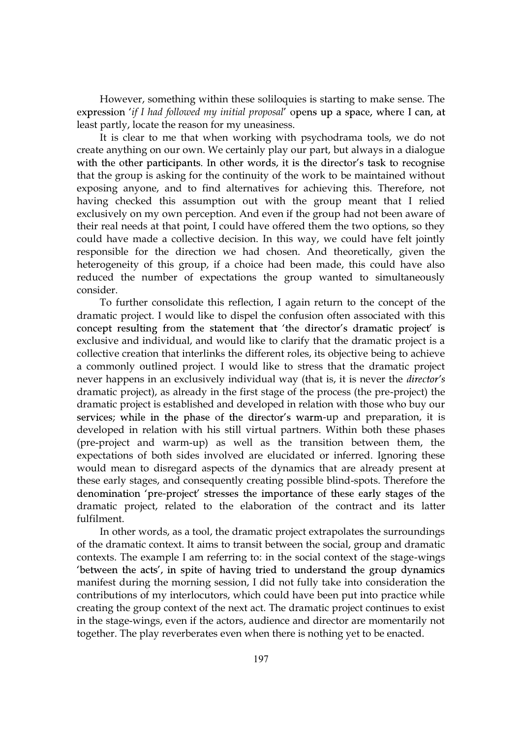However, something within these soliloquies is starting to make sense. The expression 'if I had followed my initial proposal' opens up a space, where I can, at least partly, locate the reason for my uneasiness.

It is clear to me that when working with psychodrama tools, we do not create anything on our own. We certainly play our part, but always in a dialogue with the other participants. In other words, it is the director's task to recognise that the group is asking for the continuity of the work to be maintained without exposing anyone, and to find alternatives for achieving this. Therefore, not having checked this assumption out with the group meant that I relied exclusively on my own perception. And even if the group had not been aware of their real needs at that point, I could have offered them the two options, so they could have made a collective decision. In this way, we could have felt jointly responsible for the direction we had chosen. And theoretically, given the heterogeneity of this group, if a choice had been made, this could have also reduced the number of expectations the group wanted to simultaneously consider.

To further consolidate this reflection, I again return to the concept of the dramatic project. I would like to dispel the confusion often associated with this concept resulting from the statement that 'the director's dramatic project' is exclusive and individual, and would like to clarify that the dramatic project is a collective creation that interlinks the different roles, its objective being to achieve a commonly outlined project. I would like to stress that the dramatic project never happens in an exclusively individual way (that is, it is never the *director's* dramatic project), as already in the first stage of the process (the pre-project) the dramatic project is established and developed in relation with those who buy our services; while in the phase of the director's warm-up and preparation, it is developed in relation with his still virtual partners. Within both these phases (pre-project and warm-up) as well as the transition between them, the expectations of both sides involved are elucidated or inferred. Ignoring these would mean to disregard aspects of the dynamics that are already present at these early stages, and consequently creating possible blind-spots. Therefore the denomination 'pre-project' stresses the importance of these early stages of the dramatic project, related to the elaboration of the contract and its latter fulfilment.

In other words, as a tool, the dramatic project extrapolates the surroundings of the dramatic context. It aims to transit between the social, group and dramatic contexts. The example I am referring to: in the social context of the stage-wings 'between the acts', in spite of having tried to understand the group dynamics manifest during the morning session, I did not fully take into consideration the contributions of my interlocutors, which could have been put into practice while creating the group context of the next act. The dramatic project continues to exist in the stage-wings, even if the actors, audience and director are momentarily not together. The play reverberates even when there is nothing yet to be enacted.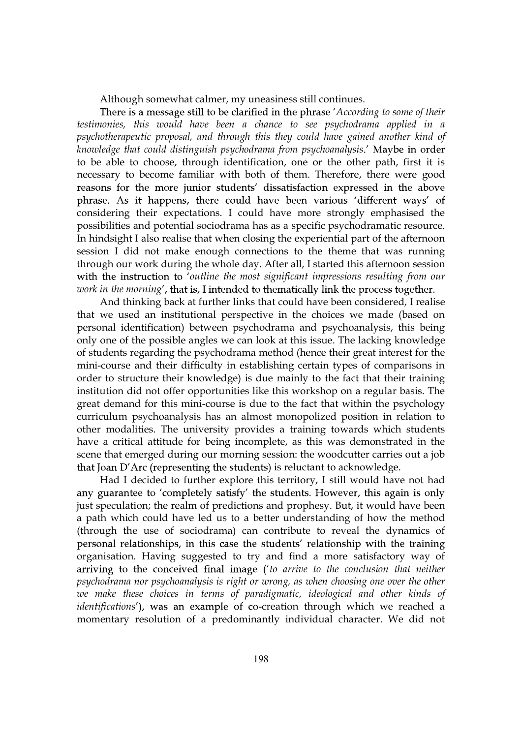Although somewhat calmer, my uneasiness still continues.

There is a message still to be clarified in the phrase 'According to some of their testimonies, this would have been a chance to see psychodrama applied in a psychotherapeutic proposal, and through this they could have gained another kind of knowledge that could distinguish psychodrama from psychoanalysis.' Maybe in order to be able to choose, through identification, one or the other path, first it is necessary to become familiar with both of them. Therefore, there were good reasons for the more junior students' dissatisfaction expressed in the above phrase. As it happens, there could have been various 'different ways' of considering their expectations. I could have more strongly emphasised the possibilities and potential sociodrama has as a specific psychodramatic resource. In hindsight I also realise that when closing the experiential part of the afternoon session I did not make enough connections to the theme that was running through our work during the whole day. After all, I started this afternoon session with the instruction to 'outline the most significant impressions resulting from our work in the morning', that is, I intended to thematically link the process together.

And thinking back at further links that could have been considered, I realise that we used an institutional perspective in the choices we made (based on personal identification) between psychodrama and psychoanalysis, this being only one of the possible angles we can look at this issue. The lacking knowledge of students regarding the psychodrama method (hence their great interest for the mini-course and their difficulty in establishing certain types of comparisons in order to structure their knowledge) is due mainly to the fact that their training institution did not offer opportunities like this workshop on a regular basis. The great demand for this mini-course is due to the fact that within the psychology curriculum psychoanalysis has an almost monopolized position in relation to other modalities. The university provides a training towards which students have a critical attitude for being incomplete, as this was demonstrated in the scene that emerged during our morning session: the woodcutter carries out a job that Joan D'Arc (representing the students) is reluctant to acknowledge.

Had I decided to further explore this territory, I still would have not had any guarantee to 'completely satisfy' the students. However, this again is only just speculation; the realm of predictions and prophesy. But, it would have been a path which could have led us to a better understanding of how the method (through the use of sociodrama) can contribute to reveal the dynamics of personal relationships, in this case the students' relationship with the training organisation. Having suggested to try and find a more satisfactory way of arriving to the conceived final image ('to arrive to the conclusion that neither psychodrama nor psychoanalysis is right or wrong, as when choosing one over the other we make these choices in terms of paradigmatic, ideological and other kinds of identifications'), was an example of co-creation through which we reached a momentary resolution of a predominantly individual character. We did not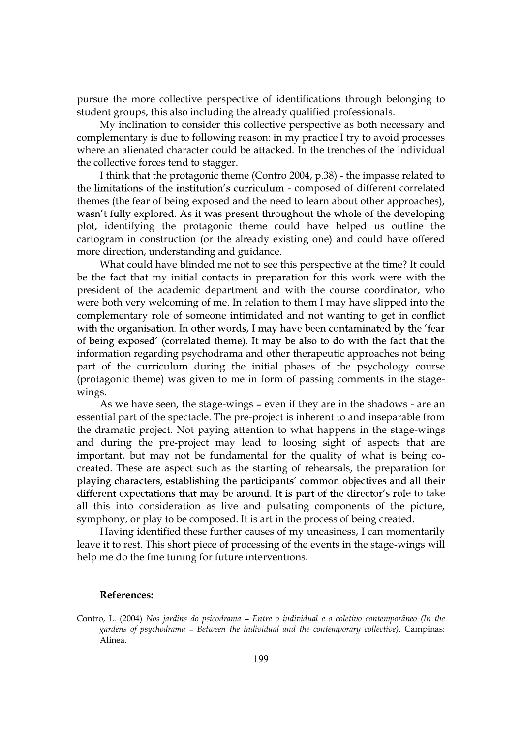pursue the more collective perspective of identifications through belonging to student groups, this also including the already qualified professionals.

My inclination to consider this collective perspective as both necessary and complementary is due to following reason: in my practice I try to avoid processes where an alienated character could be attacked. In the trenches of the individual the collective forces tend to stagger.

I think that the protagonic theme (Contro 2004, p.38) - the impasse related to the limitations of the institution's curriculum - composed of different correlated themes (the fear of being exposed and the need to learn about other approaches), wasn't fully explored. As it was present throughout the whole of the developing plot, identifying the protagonic theme could have helped us outline the cartogram in construction (or the already existing one) and could have offered more direction, understanding and guidance.

What could have blinded me not to see this perspective at the time? It could be the fact that my initial contacts in preparation for this work were with the president of the academic department and with the course coordinator, who were both very welcoming of me. In relation to them I may have slipped into the complementary role of someone intimidated and not wanting to get in conflict with the organisation. In other words, I may have been contaminated by the 'fear of being exposed' (correlated theme). It may be also to do with the fact that the information regarding psychodrama and other therapeutic approaches not being part of the curriculum during the initial phases of the psychology course (protagonic theme) was given to me in form of passing comments in the stagewings.

As we have seen, the stage-wings - even if they are in the shadows - are an essential part of the spectacle. The pre-project is inherent to and inseparable from the dramatic project. Not paying attention to what happens in the stage-wings and during the pre-project may lead to loosing sight of aspects that are important, but may not be fundamental for the quality of what is being cocreated. These are aspect such as the starting of rehearsals, the preparation for playing characters, establishing the participants' common objectives and all their different expectations that may be around. It is part of the director's role to take all this into consideration as live and pulsating components of the picture, symphony, or play to be composed. It is art in the process of being created.

Having identified these further causes of my uneasiness, I can momentarily leave it to rest. This short piece of processing of the events in the stage-wings will help me do the fine tuning for future interventions.

#### References:

Contro, L. (2004) Nos jardins do psicodrama – Entre o individual e o coletivo contemporâneo (In the gardens of psychodrama – Between the individual and the contemporary collective). Campinas: Alinea.